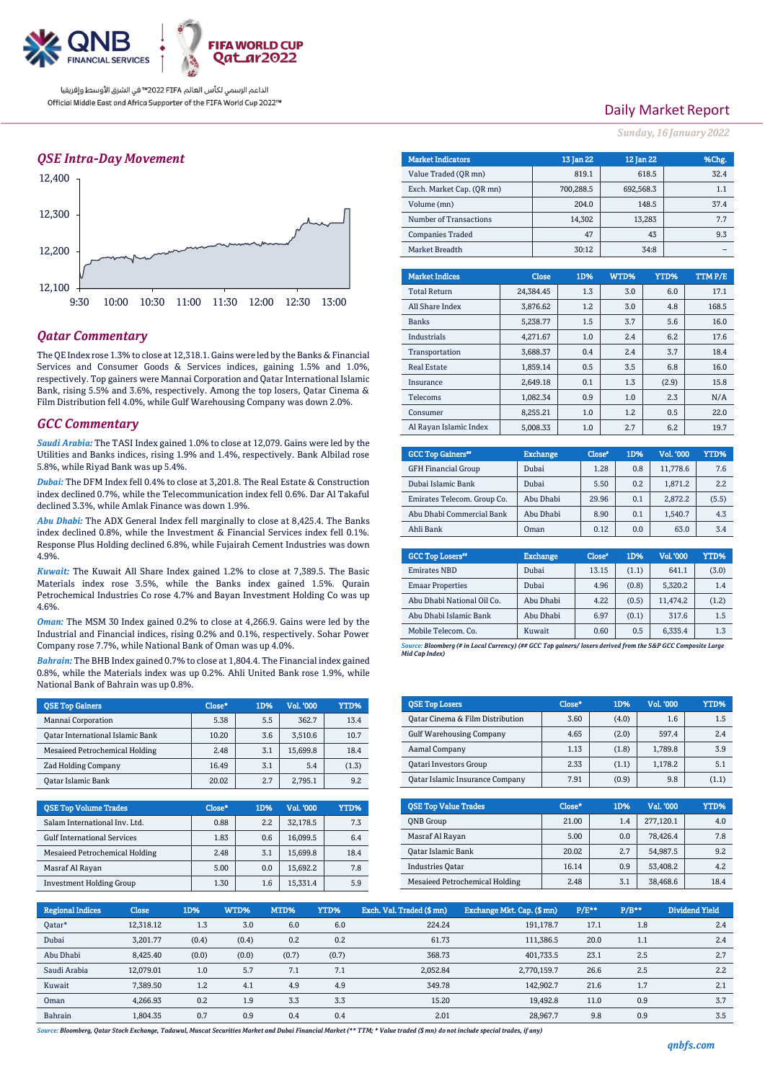

### *QSE Intra-Day Movement*



### *Qatar Commentary*

The QE Index rose 1.3% to close at 12,318.1. Gains were led by the Banks & Financial Services and Consumer Goods & Services indices, gaining 1.5% and 1.0%, respectively. Top gainers were Mannai Corporation and Qatar International Islamic Bank, rising 5.5% and 3.6%, respectively. Among the top losers, Qatar Cinema & Film Distribution fell 4.0%, while Gulf Warehousing Company was down 2.0%.

### *GCC Commentary*

*Saudi Arabia:* The TASI Index gained 1.0% to close at 12,079. Gains were led by the Utilities and Banks indices, rising 1.9% and 1.4%, respectively. Bank Albilad rose 5.8%, while Riyad Bank was up 5.4%.

*Dubai:* The DFM Index fell 0.4% to close at 3,201.8. The Real Estate & Construction index declined 0.7%, while the Telecommunication index fell 0.6%. Dar Al Takaful declined 3.3%, while Amlak Finance was down 1.9%.

*Abu Dhabi:* The ADX General Index fell marginally to close at 8,425.4. The Banks index declined 0.8%, while the Investment & Financial Services index fell 0.1%. Response Plus Holding declined 6.8%, while Fujairah Cement Industries was down 4.9%.

*Kuwait:* The Kuwait All Share Index gained 1.2% to close at 7,389.5. The Basic Materials index rose 3.5%, while the Banks index gained 1.5%. Qurain Petrochemical Industries Co rose 4.7% and Bayan Investment Holding Co was up 4.6%.

*Oman:* The MSM 30 Index gained 0.2% to close at 4,266.9. Gains were led by the Industrial and Financial indices, rising 0.2% and 0.1%, respectively. Sohar Power Company rose 7.7%, while National Bank of Oman was up 4.0%.

*Bahrain:* The BHB Index gained 0.7% to close at 1,804.4. The Financial index gained 0.8%, while the Materials index was up 0.2%. Ahli United Bank rose 1.9%, while National Bank of Bahrain was up 0.8%.

| <b>OSE Top Gainers</b>           | Close* | 1D% | Vol. '000 | YTD%  |
|----------------------------------|--------|-----|-----------|-------|
| Mannai Corporation               | 5.38   | 5.5 | 362.7     | 13.4  |
| Oatar International Islamic Bank | 10.20  | 3.6 | 3,510.6   | 10.7  |
| Mesaieed Petrochemical Holding   | 2.48   | 3.1 | 15.699.8  | 18.4  |
| Zad Holding Company              | 16.49  | 3.1 | 5.4       | (1.3) |
| Oatar Islamic Bank               | 20.02  | 2.7 | 2.795.1   | 9.2   |

| <b>OSE Top Volume Trades</b>       | Close* | 1D% | Vol. '000 | YTD% |
|------------------------------------|--------|-----|-----------|------|
| Salam International Inv. Ltd.      | 0.88   | 2.2 | 32,178.5  | 7.3  |
| <b>Gulf International Services</b> | 1.83   | 0.6 | 16.099.5  | 6.4  |
| Mesaieed Petrochemical Holding     | 2.48   | 3.1 | 15.699.8  | 18.4 |
| Masraf Al Rayan                    | 5.00   | 0.0 | 15.692.2  | 7.8  |
| <b>Investment Holding Group</b>    | 1.30   | 1.6 | 15,331.4  | 5.9  |

## Daily Market Report

*Sunday, 16 January 2022*

| <b>Market Indicators</b>  |           | 13 Jan 22 | 12 Jan 22 |        | %Chg.  |
|---------------------------|-----------|-----------|-----------|--------|--------|
| Value Traded (OR mn)      |           | 819.1     |           | 618.5  | 32.4   |
| Exch. Market Cap. (QR mn) |           | 700,288.5 | 692,568.3 |        | 1.1    |
| Volume (mn)               |           | 204.0     |           | 148.5  | 37.4   |
| Number of Transactions    |           | 14,302    |           | 13,283 | 7.7    |
| <b>Companies Traded</b>   |           | 47        |           | 43     | 9.3    |
| Market Breadth            |           | 30:12     |           | 34:8   |        |
|                           |           |           |           |        |        |
| <b>Market Indices</b>     | Close     | 1D%       | WTD%      | YTD%   | TTMP/E |
| <b>Total Return</b>       | 24.384.45 | 1.3       | 3.0       | 6.0    | 17.1   |
| All Share Index           | 3.876.62  | 1.2       | 3.0       | 4.8    | 168.5  |
| <b>Banks</b>              | 5.238.77  | 1.5       | 3.7       | 5.6    | 16.0   |
| <b>Industrials</b>        | 4,271.67  | 1.0       | 2.4       | 6.2    | 17.6   |
| Transportation            | 3.688.37  | 0.4       | 2.4       | 3.7    | 18.4   |
| <b>Real Estate</b>        | 1.859.14  | 0.5       | 3.5       | 6.8    | 16.0   |
| Insurance                 | 2.649.18  | 0.1       | 1.3       | (2.9)  | 15.8   |
| Telecoms                  | 1.082.34  | 0.9       | 1.0       | 2.3    | N/A    |
| Consumer                  | 8.255.21  | 1.0       | 1.2       | 0.5    | 22.0   |
| Al Rayan Islamic Index    | 5.008.33  | 1.0       | 2.7       | 6.2    | 19.7   |

| <b>GCC Top Gainers</b> "    | <b>Exchange</b> | Close" | 1D% | Vol. '000 | YTD%  |
|-----------------------------|-----------------|--------|-----|-----------|-------|
| <b>GFH Financial Group</b>  | Dubai           | 1.28   | 0.8 | 11.778.6  | 7.6   |
| Dubai Islamic Bank          | Dubai           | 5.50   | 0.2 | 1.871.2   | 2.2   |
| Emirates Telecom. Group Co. | Abu Dhabi       | 29.96  | 0.1 | 2.872.2   | (5.5) |
| Abu Dhabi Commercial Bank   | Abu Dhabi       | 8.90   | 0.1 | 1,540.7   | 4.3   |
| Ahli Bank                   | Oman            | 0.12   | 0.0 | 63.0      | 3.4   |

| <b>GCC Top Losers</b> "    | <b>Exchange</b> | Close <sup>®</sup> | 1D%   | <b>Vol.'000</b> | YTD%  |
|----------------------------|-----------------|--------------------|-------|-----------------|-------|
| <b>Emirates NBD</b>        | Dubai           | 13.15              | (1.1) | 641.1           | (3.0) |
| <b>Emaar Properties</b>    | Dubai           | 4.96               | (0.8) | 5,320.2         | 1.4   |
| Abu Dhabi National Oil Co. | Abu Dhabi       | 4.22               | (0.5) | 11.474.2        | (1.2) |
| Abu Dhabi Islamic Bank     | Abu Dhabi       | 6.97               | (0.1) | 317.6           | 1.5   |
| Mobile Telecom. Co.        | Kuwait          | 0.60               | 0.5   | 6,335.4         | 1.3   |

*Source: Bloomberg (# in Local Currency) (## GCC Top gainers/ losers derived from the S&P GCC Composite Large Mid Cap Index)*

| <b>QSE Top Losers</b>            | Close* | 1D%   | <b>Vol. '000</b> | YTD%  |
|----------------------------------|--------|-------|------------------|-------|
| Qatar Cinema & Film Distribution | 3.60   | (4.0) | 1.6              | 1.5   |
| <b>Gulf Warehousing Company</b>  | 4.65   | (2.0) | 597.4            | 2.4   |
| Aamal Company                    | 1.13   | (1.8) | 1,789.8          | 3.9   |
| <b>Qatari Investors Group</b>    | 2.33   | (1.1) | 1,178.2          | 5.1   |
| Qatar Islamic Insurance Company  | 7.91   | (0.9) | 9.8              | (1.1) |

| <b>OSE Top Value Trades</b>    | Close* | 1D% | Val. '000 | YTD% |
|--------------------------------|--------|-----|-----------|------|
| <b>ONB</b> Group               | 21.00  | 1.4 | 277.120.1 | 4.0  |
| Masraf Al Rayan                | 5.00   | 0.0 | 78.426.4  | 7.8  |
| Qatar Islamic Bank             | 20.02  | 2.7 | 54.987.5  | 9.2  |
| <b>Industries Oatar</b>        | 16.14  | 0.9 | 53.408.2  | 4.2  |
| Mesaieed Petrochemical Holding | 2.48   | 3.1 | 38,468.6  | 18.4 |

| <b>Regional Indices</b> | <b>Close</b> | 1D%   | WTD%  | MTD%  | YTD%  | Exch. Val. Traded (\$ mn), | Exchange Mkt. Cap. (\$ mn) | $P/E***$ | $P/B**$ | Dividend Yield |
|-------------------------|--------------|-------|-------|-------|-------|----------------------------|----------------------------|----------|---------|----------------|
| Qatar*                  | 12,318.12    | 1.3   | 3.0   | 6.0   | 6.0   | 224.24                     | 191,178.7                  | 17.1     | 1.8     | 2.4            |
| Dubai                   | 3.201.77     | (0.4) | (0.4) | 0.2   | 0.2   | 61.73                      | 111.386.5                  | 20.0     | 1.1     | 2.4            |
| Abu Dhabi               | 8,425.40     | (0.0) | (0.0) | (0.7) | (0.7) | 368.73                     | 401,733.5                  | 23.1     | 2.5     | 2.7            |
| Saudi Arabia            | 12.079.01    | 1.0   | 5.7   | 7.1   | 7.1   | 2,052.84                   | 2,770,159.7                | 26.6     | 2.5     | 2.2            |
| Kuwait                  | 7.389.50     | 1.2   | 4.1   | 4.9   | 4.9   | 349.78                     | 142.902.7                  | 21.6     | 1.7     | 2.1            |
| Oman                    | 4.266.93     | 0.2   | 1.9   | 3.3   | 3.3   | 15.20                      | 19.492.8                   | 11.0     | 0.9     | 3.7            |
| Bahrain                 | 1.804.35     | 0.7   | 0.9   | 0.4   | 0.4   | 2.01                       | 28,967.7                   | 9.8      | 0.9     | 3.5            |

*Source: Bloomberg, Qatar Stock Exchange, Tadawul, Muscat Securities Market and Dubai Financial Market (\*\* TTM; \* Value traded (\$ mn) do not include special trades, if any)*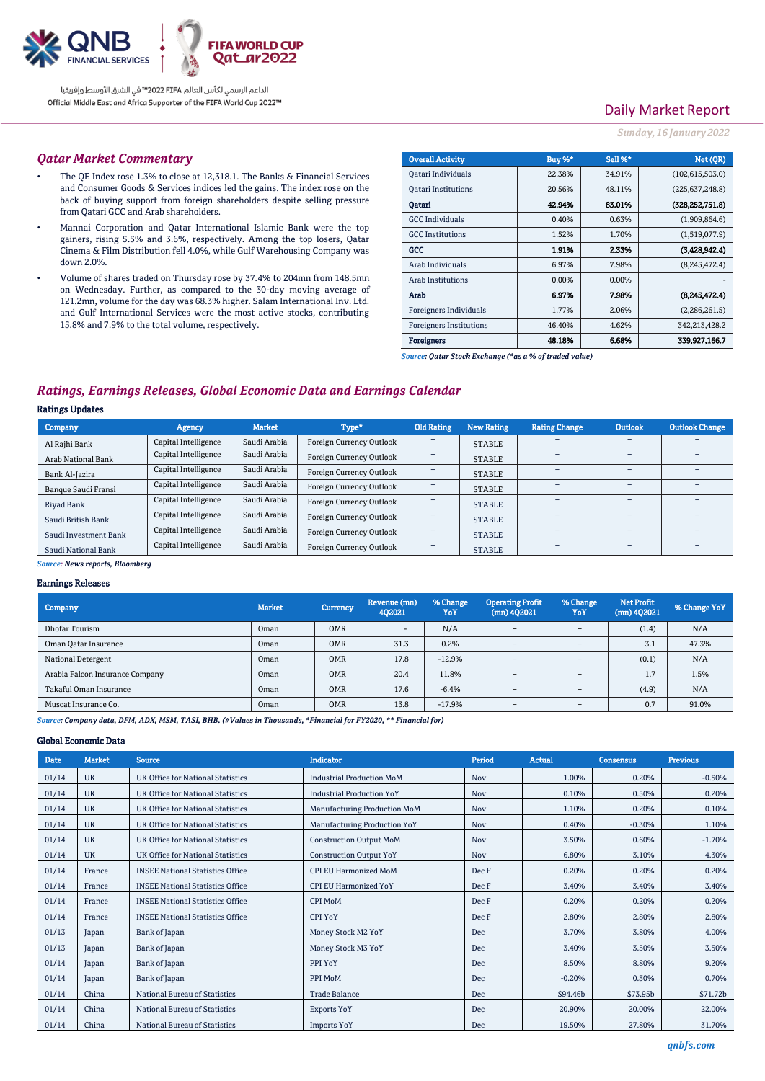

# Daily Market Report

#### *Sunday, 16 January 2022*

#### *Qatar Market Commentary*

- The QE Index rose 1.3% to close at 12,318.1. The Banks & Financial Services and Consumer Goods & Services indices led the gains. The index rose on the back of buying support from foreign shareholders despite selling pressure from Qatari GCC and Arab shareholders.
- Mannai Corporation and Qatar International Islamic Bank were the top gainers, rising 5.5% and 3.6%, respectively. Among the top losers, Qatar Cinema & Film Distribution fell 4.0%, while Gulf Warehousing Company was down 2.0%.
- Volume of shares traded on Thursday rose by 37.4% to 204mn from 148.5mn on Wednesday. Further, as compared to the 30-day moving average of 121.2mn, volume for the day was 68.3% higher. Salam International Inv. Ltd. and Gulf International Services were the most active stocks, contributing 15.8% and 7.9% to the total volume, respectively.

| <b>Overall Activity</b>        | Buy %* | Sell %* | Net (OR)          |
|--------------------------------|--------|---------|-------------------|
| Qatari Individuals             | 22.38% | 34.91%  | (102, 615, 503.0) |
| <b>Oatari Institutions</b>     | 20.56% | 48.11%  | (225, 637, 248.8) |
| Oatari                         | 42.94% | 83.01%  | (328.252.751.8)   |
| <b>GCC</b> Individuals         | 0.40%  | 0.63%   | (1,909,864.6)     |
| <b>GCC</b> Institutions        | 1.52%  | 1.70%   | (1,519,077.9)     |
| GCC                            | 1.91%  | 2.33%   | (3,428,942.4)     |
| Arab Individuals               | 6.97%  | 7.98%   | (8,245,472.4)     |
| Arab Institutions              | 0.00%  | 0.00%   |                   |
| Arab                           | 6.97%  | 7.98%   | (8,245,472.4)     |
| Foreigners Individuals         | 1.77%  | 2.06%   | (2,286,261.5)     |
| <b>Foreigners Institutions</b> | 46.40% | 4.62%   | 342,213,428.2     |
| <b>Foreigners</b>              | 48.18% | 6.68%   | 339,927,166.7     |

*Source: Qatar Stock Exchange (\*as a % of traded value)*

## *Ratings, Earnings Releases, Global Economic Data and Earnings Calendar*

### Ratings Updates

| Agency               | <b>Market</b> | Type*                           | Old Rating | New Rating    | <b>Rating Change</b> | <b>Outlook</b> | Outlook Change |
|----------------------|---------------|---------------------------------|------------|---------------|----------------------|----------------|----------------|
| Capital Intelligence | Saudi Arabia  | Foreign Currency Outlook        | -          | <b>STABLE</b> |                      | -              |                |
| Capital Intelligence | Saudi Arabia  | Foreign Currency Outlook        |            | <b>STABLE</b> | -                    | -              |                |
| Capital Intelligence | Saudi Arabia  | <b>Foreign Currency Outlook</b> |            | <b>STABLE</b> |                      | -              |                |
| Capital Intelligence | Saudi Arabia  | Foreign Currency Outlook        |            | <b>STABLE</b> |                      | -              |                |
| Capital Intelligence | Saudi Arabia  | <b>Foreign Currency Outlook</b> |            | <b>STABLE</b> |                      | -              |                |
| Capital Intelligence | Saudi Arabia  | Foreign Currency Outlook        | -          | <b>STABLE</b> |                      | -              |                |
| Capital Intelligence | Saudi Arabia  | <b>Foreign Currency Outlook</b> |            | <b>STABLE</b> |                      | -              |                |
| Capital Intelligence | Saudi Arabia  | <b>Foreign Currency Outlook</b> |            | <b>STABLE</b> |                      | -              |                |
|                      |               |                                 |            |               |                      |                |                |

#### *Source: News reports, Bloomberg*

#### Earnings Releases

| Company                         | <b>Market</b> | <b>Currency</b> | Revenue (mn)<br>402021   | % Change<br>YoY | <b>Operating Profit</b><br>$(mn)$ 402021 | % Change<br>YoY          | <b>Net Profit</b><br>(mn) 402021 | % Change YoY |
|---------------------------------|---------------|-----------------|--------------------------|-----------------|------------------------------------------|--------------------------|----------------------------------|--------------|
| Dhofar Tourism                  | Oman          | <b>OMR</b>      | $\overline{\phantom{a}}$ | N/A             | $\overline{\phantom{a}}$                 | $\overline{\phantom{a}}$ | (1.4)                            | N/A          |
| Oman Qatar Insurance            | Oman          | <b>OMR</b>      | 31.3                     | 0.2%            | $\overline{\phantom{a}}$                 | $\overline{\phantom{a}}$ | 3.1                              | 47.3%        |
| National Detergent              | Oman          | <b>OMR</b>      | 17.8                     | $-12.9%$        | $\overline{\phantom{a}}$                 | $\overline{\phantom{a}}$ | (0.1)                            | N/A          |
| Arabia Falcon Insurance Company | Oman          | <b>OMR</b>      | 20.4                     | 11.8%           | $\equiv$                                 | $\overline{\phantom{0}}$ | 1.7                              | 1.5%         |
| Takaful Oman Insurance          | Oman          | <b>OMR</b>      | 17.6                     | $-6.4%$         | $\overline{\phantom{a}}$                 | $\overline{\phantom{a}}$ | (4.9)                            | N/A          |
| Muscat Insurance Co.            | Oman          | <b>OMR</b>      | 13.8                     | $-17.9%$        | $\overline{\phantom{a}}$                 | $\overline{\phantom{a}}$ | 0.7                              | 91.0%        |

*Source: Company data, DFM, ADX, MSM, TASI, BHB. (#Values in Thousands, \*Financial for FY2020, \*\* Financial for)*

### Global Economic Data

| Date  | <b>Market</b> | <b>Source</b>                           | <b>Indicator</b>                 | Period     | <b>Actual</b> | <b>Consensus</b> | <b>Previous</b> |
|-------|---------------|-----------------------------------------|----------------------------------|------------|---------------|------------------|-----------------|
| 01/14 | <b>UK</b>     | UK Office for National Statistics       | <b>Industrial Production MoM</b> | Nov        | 1.00%         | 0.20%            | $-0.50%$        |
| 01/14 | <b>UK</b>     | UK Office for National Statistics       | <b>Industrial Production YoY</b> | Nov        | 0.10%         | 0.50%            | 0.20%           |
| 01/14 | <b>UK</b>     | UK Office for National Statistics       | Manufacturing Production MoM     | Nov        | 1.10%         | 0.20%            | 0.10%           |
| 01/14 | <b>UK</b>     | UK Office for National Statistics       | Manufacturing Production YoY     | Nov        | 0.40%         | $-0.30%$         | 1.10%           |
| 01/14 | <b>UK</b>     | UK Office for National Statistics       | <b>Construction Output MoM</b>   | Nov        | 3.50%         | 0.60%            | $-1.70%$        |
| 01/14 | <b>UK</b>     | UK Office for National Statistics       | <b>Construction Output YoY</b>   | <b>Nov</b> | 6.80%         | 3.10%            | 4.30%           |
| 01/14 | France        | <b>INSEE National Statistics Office</b> | <b>CPI EU Harmonized MoM</b>     | Dec F      | 0.20%         | 0.20%            | 0.20%           |
| 01/14 | France        | <b>INSEE National Statistics Office</b> | <b>CPI EU Harmonized YoY</b>     | Dec F      | 3.40%         | 3.40%            | 3.40%           |
| 01/14 | France        | <b>INSEE National Statistics Office</b> | <b>CPI MoM</b>                   | Dec F      | 0.20%         | 0.20%            | 0.20%           |
| 01/14 | France        | <b>INSEE National Statistics Office</b> | <b>CPI YoY</b>                   | Dec F      | 2.80%         | 2.80%            | 2.80%           |
| 01/13 | Japan         | Bank of Japan                           | Money Stock M2 YoY               | Dec        | 3.70%         | 3.80%            | 4.00%           |
| 01/13 | apan)         | Bank of Japan                           | Money Stock M3 YoY               | Dec        | 3.40%         | 3.50%            | 3.50%           |
| 01/14 | Japan         | Bank of Japan                           | PPI YoY                          | Dec        | 8.50%         | 8.80%            | 9.20%           |
| 01/14 | apan)         | Bank of Japan                           | PPI MoM                          | Dec        | $-0.20%$      | 0.30%            | 0.70%           |
| 01/14 | China         | National Bureau of Statistics           | <b>Trade Balance</b>             | Dec        | \$94.46b      | \$73.95b         | \$71.72b        |
| 01/14 | China         | National Bureau of Statistics           | <b>Exports YoY</b>               | Dec        | 20.90%        | 20.00%           | 22.00%          |
| 01/14 | China         | National Bureau of Statistics           | <b>Imports YoY</b>               | Dec        | 19.50%        | 27.80%           | 31.70%          |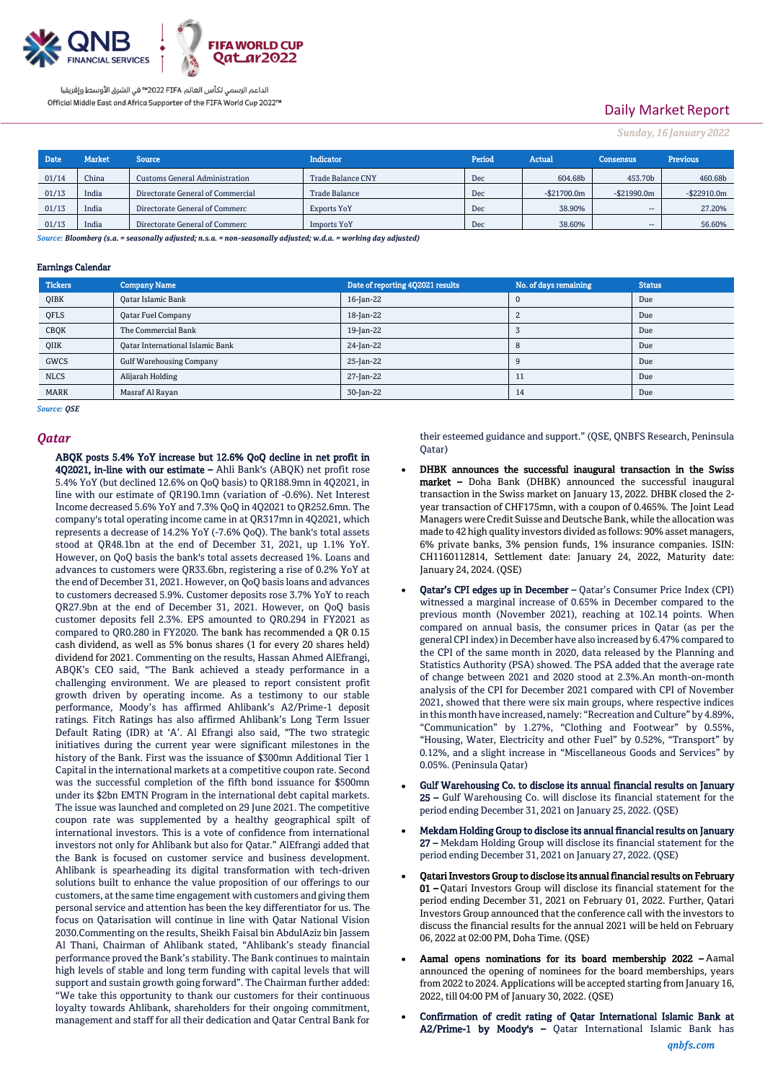

# Daily Market Report

*Sunday, 16 January 2022*

| <b>Date</b> | <b>Market</b> | <b>Source</b>                         | <b>Indicator</b>         | Period | Actual         | <b>Consensus</b>         | <b>Previous</b> |
|-------------|---------------|---------------------------------------|--------------------------|--------|----------------|--------------------------|-----------------|
| 01/14       | China         | <b>Customs General Administration</b> | <b>Trade Balance CNY</b> | Dec    | 604.68b        | 453.70b                  | 460.68b         |
| 01/13       | India         | Directorate General of Commercial     | Trade Balance            | Dec    | $-$ \$21700.0m | $-$ \$21990.0m           | $-$22910.0m$    |
| 01/13       | India         | Directorate General of Commerc        | Exports YoY              | Dec    | 38.90%         | $- -$                    | 27.20%          |
| 01/13       | India         | Directorate General of Commerc        | <b>Imports YoY</b>       | Dec    | 38.60%         | $\overline{\phantom{a}}$ | 56.60%          |

*Source: Bloomberg (s.a. = seasonally adjusted; n.s.a. = non-seasonally adjusted; w.d.a. = working day adjusted)*

#### Earnings Calendar

| <b>Tickers</b> | <b>Company Name</b>                     | Date of reporting 4Q2021 results | No. of days remaining | <b>Status</b> |
|----------------|-----------------------------------------|----------------------------------|-----------------------|---------------|
| <b>QIBK</b>    | <b>Qatar Islamic Bank</b>               | 16-Jan-22                        | 0                     | Due           |
| QFLS           | Qatar Fuel Company                      | 18-Jan-22                        |                       | Due           |
| CBQK           | The Commercial Bank                     | 19-Jan-22                        |                       | Due           |
| QIIK           | <b>Qatar International Islamic Bank</b> | 24-Jan-22                        | 8                     | Due           |
| <b>GWCS</b>    | <b>Gulf Warehousing Company</b>         | 25-Jan-22                        |                       | Due           |
| <b>NLCS</b>    | Alijarah Holding                        | 27-Jan-22                        | 11                    | Due           |
| <b>MARK</b>    | Masraf Al Rayan                         | 30-Jan-22                        | 14                    | Due           |

*Source: QSE*

#### *Qatar*

ABQK posts 5.4% YoY increase but 12.6% QoQ decline in net profit in 4Q2021, in-line with our estimate – Ahli Bank's (ABQK) net profit rose

5.4% YoY (but declined 12.6% on QoQ basis) to QR188.9mn in 4Q2021, in line with our estimate of QR190.1mn (variation of -0.6%). Net Interest Income decreased 5.6% YoY and 7.3% QoQ in 4Q2021 to QR252.6mn. The company's total operating income came in at QR317mn in 4Q2021, which represents a decrease of 14.2% YoY (-7.6% QoQ). The bank's total assets stood at QR48.1bn at the end of December 31, 2021, up 1.1% YoY. However, on QoQ basis the bank's total assets decreased 1%. Loans and advances to customers were QR33.6bn, registering a rise of 0.2% YoY at the end of December 31, 2021. However, on QoQ basis loans and advances to customers decreased 5.9%. Customer deposits rose 3.7% YoY to reach QR27.9bn at the end of December 31, 2021. However, on QoQ basis customer deposits fell 2.3%. EPS amounted to QR0.294 in FY2021 as compared to QR0.280 in FY2020. The bank has recommended a QR 0.15 cash dividend, as well as 5% bonus shares (1 for every 20 shares held) dividend for 2021. Commenting on the results, Hassan Ahmed AlEfrangi, ABQK's CEO said, "The Bank achieved a steady performance in a challenging environment. We are pleased to report consistent profit growth driven by operating income. As a testimony to our stable performance, Moody's has affirmed Ahlibank's A2/Prime-1 deposit ratings. Fitch Ratings has also affirmed Ahlibank's Long Term Issuer Default Rating (IDR) at 'A'. Al Efrangi also said, "The two strategic initiatives during the current year were significant milestones in the history of the Bank. First was the issuance of \$300mn Additional Tier 1 Capital in the international markets at a competitive coupon rate. Second was the successful completion of the fifth bond issuance for \$500mn under its \$2bn EMTN Program in the international debt capital markets. The issue was launched and completed on 29 June 2021. The competitive coupon rate was supplemented by a healthy geographical spilt of international investors. This is a vote of confidence from international investors not only for Ahlibank but also for Qatar." AlEfrangi added that the Bank is focused on customer service and business development. Ahlibank is spearheading its digital transformation with tech-driven solutions built to enhance the value proposition of our offerings to our customers, at the same time engagement with customers and giving them personal service and attention has been the key differentiator for us. The focus on Qatarisation will continue in line with Qatar National Vision 2030.Commenting on the results, Sheikh Faisal bin AbdulAziz bin Jassem Al Thani, Chairman of Ahlibank stated, "Ahlibank's steady financial performance proved the Bank's stability. The Bank continues to maintain high levels of stable and long term funding with capital levels that will support and sustain growth going forward". The Chairman further added: "We take this opportunity to thank our customers for their continuous loyalty towards Ahlibank, shareholders for their ongoing commitment, management and staff for all their dedication and Qatar Central Bank for

their esteemed guidance and support." (QSE, QNBFS Research, Peninsula Qatar)

- DHBK announces the successful inaugural transaction in the Swiss market – Doha Bank (DHBK) announced the successful inaugural transaction in the Swiss market on January 13, 2022. DHBK closed the 2 year transaction of CHF175mn, with a coupon of 0.465%. The Joint Lead Managers were Credit Suisse and Deutsche Bank, while the allocation was made to 42 high quality investors divided as follows: 90% asset managers, 6% private banks, 3% pension funds, 1% insurance companies. ISIN: CH1160112814, Settlement date: January 24, 2022, Maturity date: January 24, 2024. (QSE)
- Qatar's CPI edges up in December Qatar's Consumer Price Index (CPI) witnessed a marginal increase of 0.65% in December compared to the previous month (November 2021), reaching at 102.14 points. When compared on annual basis, the consumer prices in Qatar (as per the general CPI index) in December have also increased by 6.47% compared to the CPI of the same month in 2020, data released by the Planning and Statistics Authority (PSA) showed. The PSA added that the average rate of change between 2021 and 2020 stood at 2.3%.An month-on-month analysis of the CPI for December 2021 compared with CPI of November 2021, showed that there were six main groups, where respective indices in this month have increased, namely: "Recreation and Culture" by 4.89%, "Communication" by 1.27%, "Clothing and Footwear" by 0.55%, "Housing, Water, Electricity and other Fuel" by 0.52%, "Transport" by 0.12%, and a slight increase in "Miscellaneous Goods and Services" by 0.05%. (Peninsula Qatar)
- Gulf Warehousing Co. to disclose its annual financial results on January 25 – Gulf Warehousing Co. will disclose its financial statement for the period ending December 31, 2021 on January 25, 2022. (QSE)
- Mekdam Holding Group to disclose its annual financial results on January 27 – Mekdam Holding Group will disclose its financial statement for the period ending December 31, 2021 on January 27, 2022. (QSE)
- Qatari Investors Group to disclose its annual financial results on February 01 – Qatari Investors Group will disclose its financial statement for the period ending December 31, 2021 on February 01, 2022. Further, Qatari Investors Group announced that the conference call with the investors to discuss the financial results for the annual 2021 will be held on February 06, 2022 at 02:00 PM, Doha Time. (QSE)
- Aamal opens nominations for its board membership 2022 Aamal announced the opening of nominees for the board memberships, years from 2022 to 2024. Applications will be accepted starting from January 16, 2022, till 04:00 PM of January 30, 2022. (QSE)
- Confirmation of credit rating of Qatar International Islamic Bank at A2/Prime-1 by Moody's – Qatar International Islamic Bank has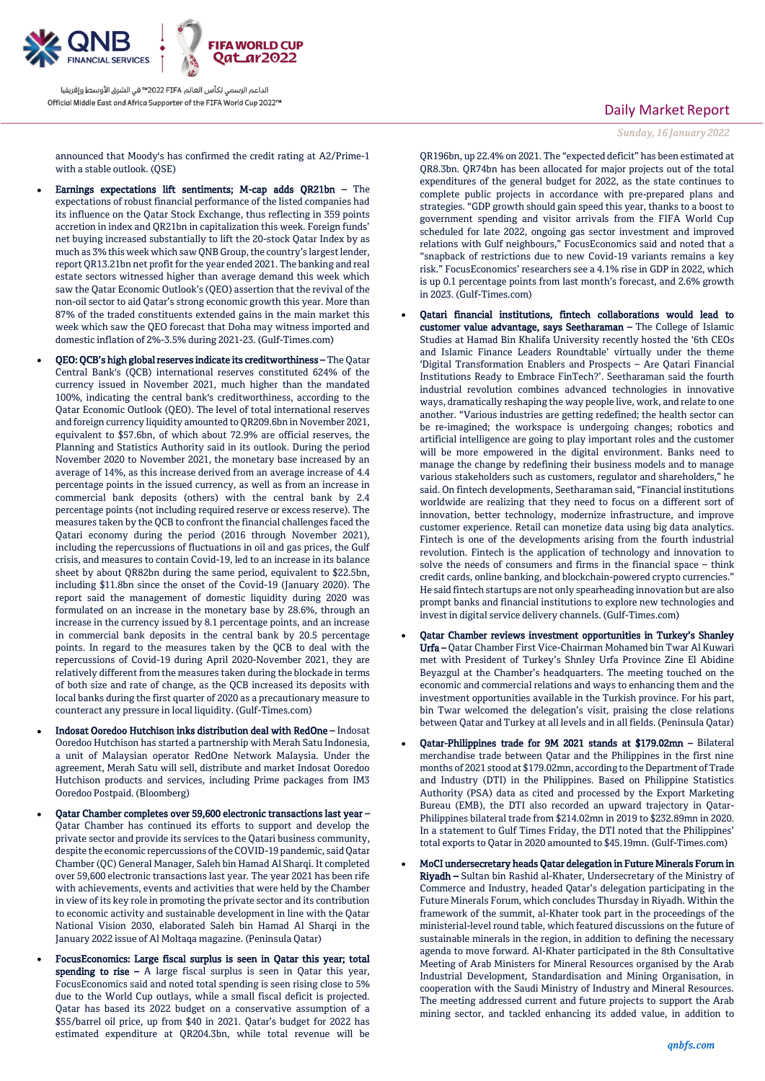

announced that Moody's has confirmed the credit rating at A2/Prime-1 with a stable outlook. (OSE)

- Earnings expectations lift sentiments; M-cap adds QR21bn The expectations of robust financial performance of the listed companies had its influence on the Qatar Stock Exchange, thus reflecting in 359 points accretion in index and QR21bn in capitalization this week. Foreign funds' net buying increased substantially to lift the 20-stock Qatar Index by as much as 3% this week which saw QNB Group, the country's largest lender, report QR13.21bn net profit for the year ended 2021. The banking and real estate sectors witnessed higher than average demand this week which saw the Qatar Economic Outlook's (QEO) assertion that the revival of the non-oil sector to aid Qatar's strong economic growth this year. More than 87% of the traded constituents extended gains in the main market this week which saw the QEO forecast that Doha may witness imported and domestic inflation of 2%-3.5% during 2021-23. (Gulf-Times.com)
- QEO: QCB's high global reserves indicate its creditworthiness The Qatar Central Bank's (QCB) international reserves constituted 624% of the currency issued in November 2021, much higher than the mandated 100%, indicating the central bank's creditworthiness, according to the Qatar Economic Outlook (QEO). The level of total international reserves and foreign currency liquidity amounted to QR209.6bn in November 2021, equivalent to \$57.6bn, of which about 72.9% are official reserves, the Planning and Statistics Authority said in its outlook. During the period November 2020 to November 2021, the monetary base increased by an average of 14%, as this increase derived from an average increase of 4.4 percentage points in the issued currency, as well as from an increase in commercial bank deposits (others) with the central bank by 2.4 percentage points (not including required reserve or excess reserve). The measures taken by the QCB to confront the financial challenges faced the Qatari economy during the period (2016 through November 2021), including the repercussions of fluctuations in oil and gas prices, the Gulf crisis, and measures to contain Covid-19, led to an increase in its balance sheet by about QR82bn during the same period, equivalent to \$22.5bn, including \$11.8bn since the onset of the Covid-19 (January 2020). The report said the management of domestic liquidity during 2020 was formulated on an increase in the monetary base by 28.6%, through an increase in the currency issued by 8.1 percentage points, and an increase in commercial bank deposits in the central bank by 20.5 percentage points. In regard to the measures taken by the QCB to deal with the repercussions of Covid-19 during April 2020-November 2021, they are relatively different from the measures taken during the blockade in terms of both size and rate of change, as the QCB increased its deposits with local banks during the first quarter of 2020 as a precautionary measure to counteract any pressure in local liquidity. (Gulf-Times.com)
- Indosat Ooredoo Hutchison inks distribution deal with RedOne Indosat Ooredoo Hutchison has started a partnership with Merah Satu Indonesia, a unit of Malaysian operator RedOne Network Malaysia. Under the agreement, Merah Satu will sell, distribute and market Indosat Ooredoo Hutchison products and services, including Prime packages from IM3 Ooredoo Postpaid. (Bloomberg)
- Qatar Chamber completes over 59,600 electronic transactions last year Qatar Chamber has continued its efforts to support and develop the private sector and provide its services to the Qatari business community, despite the economic repercussions of the COVID-19 pandemic, said Qatar Chamber (QC) General Manager, Saleh bin Hamad Al Sharqi. It completed over 59,600 electronic transactions last year. The year 2021 has been rife with achievements, events and activities that were held by the Chamber in view of its key role in promoting the private sector and its contribution to economic activity and sustainable development in line with the Qatar National Vision 2030, elaborated Saleh bin Hamad Al Sharqi in the January 2022 issue of Al Moltaqa magazine. (Peninsula Qatar)
- FocusEconomics: Large fiscal surplus is seen in Qatar this year; total spending to rise  $-$  A large fiscal surplus is seen in Qatar this year, FocusEconomics said and noted total spending is seen rising close to 5% due to the World Cup outlays, while a small fiscal deficit is projected. Qatar has based its 2022 budget on a conservative assumption of a \$55/barrel oil price, up from \$40 in 2021. Qatar's budget for 2022 has estimated expenditure at QR204.3bn, while total revenue will be

### Daily Market Report

*Sunday, 16 January 2022*

QR196bn, up 22.4% on 2021. The "expected deficit" has been estimated at QR8.3bn. QR74bn has been allocated for major projects out of the total expenditures of the general budget for 2022, as the state continues to complete public projects in accordance with pre-prepared plans and strategies. "GDP growth should gain speed this year, thanks to a boost to government spending and visitor arrivals from the FIFA World Cup scheduled for late 2022, ongoing gas sector investment and improved relations with Gulf neighbours," FocusEconomics said and noted that a "snapback of restrictions due to new Covid-19 variants remains a key risk." FocusEconomics' researchers see a 4.1% rise in GDP in 2022, which is up 0.1 percentage points from last month's forecast, and 2.6% growth in 2023. (Gulf-Times.com)

- Qatari financial institutions, fintech collaborations would lead to customer value advantage, says Seetharaman – The College of Islamic Studies at Hamad Bin Khalifa University recently hosted the '6th CEOs and Islamic Finance Leaders Roundtable' virtually under the theme 'Digital Transformation Enablers and Prospects – Are Qatari Financial Institutions Ready to Embrace FinTech?'. Seetharaman said the fourth industrial revolution combines advanced technologies in innovative ways, dramatically reshaping the way people live, work, and relate to one another. "Various industries are getting redefined; the health sector can be re-imagined; the workspace is undergoing changes; robotics and artificial intelligence are going to play important roles and the customer will be more empowered in the digital environment. Banks need to manage the change by redefining their business models and to manage various stakeholders such as customers, regulator and shareholders," he said. On fintech developments, Seetharaman said, "Financial institutions worldwide are realizing that they need to focus on a different sort of innovation, better technology, modernize infrastructure, and improve customer experience. Retail can monetize data using big data analytics. Fintech is one of the developments arising from the fourth industrial revolution. Fintech is the application of technology and innovation to solve the needs of consumers and firms in the financial space – think credit cards, online banking, and blockchain-powered crypto currencies." He said fintech startups are not only spearheading innovation but are also prompt banks and financial institutions to explore new technologies and invest in digital service delivery channels. (Gulf-Times.com)
- Qatar Chamber reviews investment opportunities in Turkey's Shanley Urfa – Qatar Chamber First Vice-Chairman Mohamed bin Twar Al Kuwari met with President of Turkey's Shnley Urfa Province Zine El Abidine Beyazgul at the Chamber's headquarters. The meeting touched on the economic and commercial relations and ways to enhancing them and the investment opportunities available in the Turkish province. For his part, bin Twar welcomed the delegation's visit, praising the close relations between Qatar and Turkey at all levels and in all fields. (Peninsula Qatar)
- Qatar-Philippines trade for 9M 2021 stands at \$179.02mn Bilateral merchandise trade between Qatar and the Philippines in the first nine months of 2021 stood at \$179.02mn, according to the Department of Trade and Industry (DTI) in the Philippines. Based on Philippine Statistics Authority (PSA) data as cited and processed by the Export Marketing Bureau (EMB), the DTI also recorded an upward trajectory in Qatar-Philippines bilateral trade from \$214.02mn in 2019 to \$232.89mn in 2020. In a statement to Gulf Times Friday, the DTI noted that the Philippines' total exports to Qatar in 2020 amounted to \$45.19mn. (Gulf-Times.com)
- MoCI undersecretary heads Qatar delegation in Future Minerals Forum in Riyadh – Sultan bin Rashid al-Khater, Undersecretary of the Ministry of Commerce and Industry, headed Qatar's delegation participating in the Future Minerals Forum, which concludes Thursday in Riyadh. Within the framework of the summit, al-Khater took part in the proceedings of the ministerial-level round table, which featured discussions on the future of sustainable minerals in the region, in addition to defining the necessary agenda to move forward. Al-Khater participated in the 8th Consultative Meeting of Arab Ministers for Mineral Resources organised by the Arab Industrial Development, Standardisation and Mining Organisation, in cooperation with the Saudi Ministry of Industry and Mineral Resources. The meeting addressed current and future projects to support the Arab mining sector, and tackled enhancing its added value, in addition to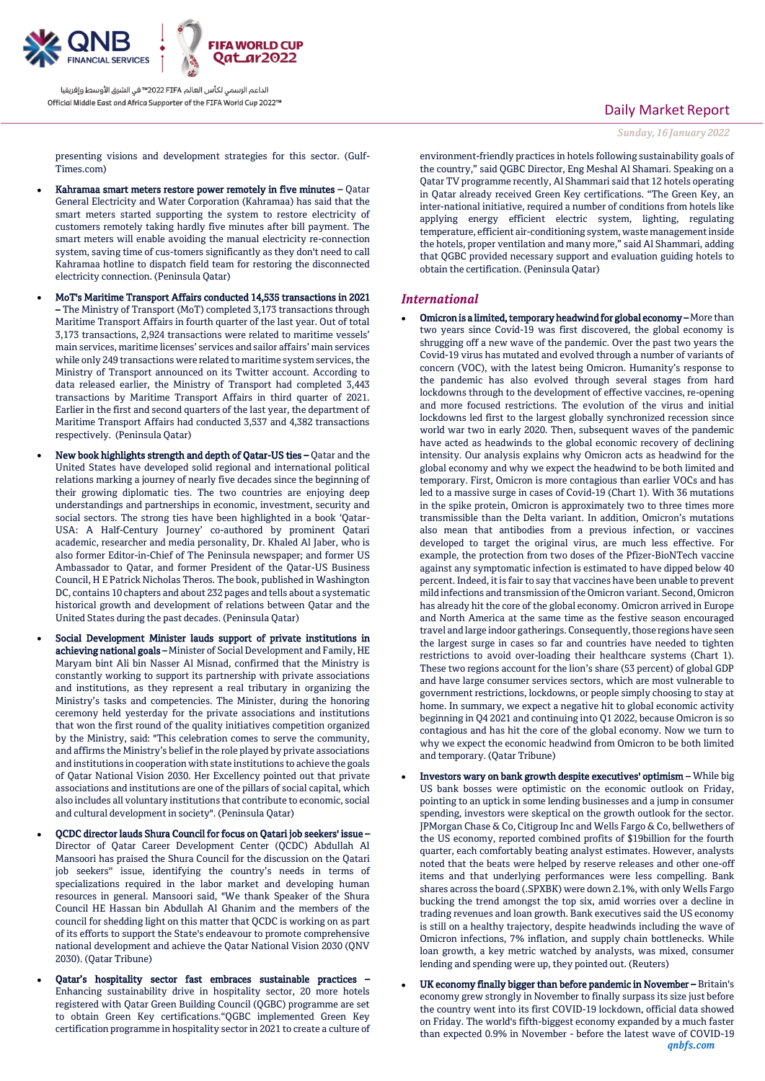

presenting visions and development strategies for this sector. (Gulf-Times.com)

- Kahramaa smart meters restore power remotely in five minutes Qatar General Electricity and Water Corporation (Kahramaa) has said that the smart meters started supporting the system to restore electricity of customers remotely taking hardly five minutes after bill payment. The smart meters will enable avoiding the manual electricity re-connection system, saving time of cus-tomers significantly as they don't need to call Kahramaa hotline to dispatch field team for restoring the disconnected electricity connection. (Peninsula Qatar)
- MoT's Maritime Transport Affairs conducted 14,535 transactions in 2021 – The Ministry of Transport (MoT) completed 3,173 transactions through Maritime Transport Affairs in fourth quarter of the last year. Out of total 3,173 transactions, 2,924 transactions were related to maritime vessels' main services, maritime licenses' services and sailor affairs' main services while only 249 transactions were related to maritime system services, the Ministry of Transport announced on its Twitter account. According to data released earlier, the Ministry of Transport had completed 3,443 transactions by Maritime Transport Affairs in third quarter of 2021. Earlier in the first and second quarters of the last year, the department of Maritime Transport Affairs had conducted 3,537 and 4,382 transactions respectively. (Peninsula Qatar)
- New book highlights strength and depth of Qatar-US ties Qatar and the United States have developed solid regional and international political relations marking a journey of nearly five decades since the beginning of their growing diplomatic ties. The two countries are enjoying deep understandings and partnerships in economic, investment, security and social sectors. The strong ties have been highlighted in a book 'Qatar-USA: A Half-Century Journey' co-authored by prominent Qatari academic, researcher and media personality, Dr. Khaled Al Jaber, who is also former Editor-in-Chief of The Peninsula newspaper; and former US Ambassador to Qatar, and former President of the Qatar-US Business Council, H E Patrick Nicholas Theros. The book, published in Washington DC, contains 10 chapters and about 232 pages and tells about a systematic historical growth and development of relations between Qatar and the United States during the past decades. (Peninsula Qatar)
- Social Development Minister lauds support of private institutions in achieving national goals - Minister of Social Development and Family, HE Maryam bint Ali bin Nasser Al Misnad, confirmed that the Ministry is constantly working to support its partnership with private associations and institutions, as they represent a real tributary in organizing the Ministry's tasks and competencies. The Minister, during the honoring ceremony held yesterday for the private associations and institutions that won the first round of the quality initiatives competition organized by the Ministry, said: "This celebration comes to serve the community, and affirms the Ministry's belief in the role played by private associations and institutions in cooperation with state institutions to achieve the goals of Qatar National Vision 2030. Her Excellency pointed out that private associations and institutions are one of the pillars of social capital, which also includes all voluntary institutions that contribute to economic, social and cultural development in society". (Peninsula Qatar)
- QCDC director lauds Shura Council for focus on Qatari job seekers' issue Director of Qatar Career Development Center (QCDC) Abdullah Al Mansoori has praised the Shura Council for the discussion on the Qatari job seekers'' issue, identifying the country's needs in terms of specializations required in the labor market and developing human resources in general. Mansoori said, "We thank Speaker of the Shura Council HE Hassan bin Abdullah Al Ghanim and the members of the council for shedding light on this matter that QCDC is working on as part of its efforts to support the State's endeavour to promote comprehensive national development and achieve the Qatar National Vision 2030 (QNV 2030). (Qatar Tribune)
- Qatar's hospitality sector fast embraces sustainable practices Enhancing sustainability drive in hospitality sector, 20 more hotels registered with Qatar Green Building Council (QGBC) programme are set to obtain Green Key certifications."QGBC implemented Green Key certification programme in hospitality sector in 2021 to create a culture of

# Daily Market Report

*Sunday, 16 January 2022*

environment-friendly practices in hotels following sustainability goals of the country," said QGBC Director, Eng Meshal Al Shamari. Speaking on a Qatar TV programme recently, Al Shammari said that 12 hotels operating in Qatar already received Green Key certifications. "The Green Key, an inter-national initiative, required a number of conditions from hotels like applying energy efficient electric system, lighting, regulating temperature, efficient air-conditioning system, waste management inside the hotels, proper ventilation and many more," said Al Shammari, adding that QGBC provided necessary support and evaluation guiding hotels to obtain the certification. (Peninsula Qatar)

### *International*

- Omicron is a limited, temporary headwind for global economy More than two years since Covid-19 was first discovered, the global economy is shrugging off a new wave of the pandemic. Over the past two years the Covid-19 virus has mutated and evolved through a number of variants of concern (VOC), with the latest being Omicron. Humanity's response to the pandemic has also evolved through several stages from hard lockdowns through to the development of effective vaccines, re-opening and more focused restrictions. The evolution of the virus and initial lockdowns led first to the largest globally synchronized recession since world war two in early 2020. Then, subsequent waves of the pandemic have acted as headwinds to the global economic recovery of declining intensity. Our analysis explains why Omicron acts as headwind for the global economy and why we expect the headwind to be both limited and temporary. First, Omicron is more contagious than earlier VOCs and has led to a massive surge in cases of Covid-19 (Chart 1). With 36 mutations in the spike protein, Omicron is approximately two to three times more transmissible than the Delta variant. In addition, Omicron's mutations also mean that antibodies from a previous infection, or vaccines developed to target the original virus, are much less effective. For example, the protection from two doses of the Pfizer-BioNTech vaccine against any symptomatic infection is estimated to have dipped below 40 percent. Indeed, it is fair to say that vaccines have been unable to prevent mild infections and transmission of the Omicron variant. Second, Omicron has already hit the core of the global economy. Omicron arrived in Europe and North America at the same time as the festive season encouraged travel and large indoor gatherings. Consequently, those regions have seen the largest surge in cases so far and countries have needed to tighten restrictions to avoid over-loading their healthcare systems (Chart 1). These two regions account for the lion's share (53 percent) of global GDP and have large consumer services sectors, which are most vulnerable to government restrictions, lockdowns, or people simply choosing to stay at home. In summary, we expect a negative hit to global economic activity beginning in Q4 2021 and continuing into Q1 2022, because Omicron is so contagious and has hit the core of the global economy. Now we turn to why we expect the economic headwind from Omicron to be both limited and temporary. (Qatar Tribune)
- Investors wary on bank growth despite executives' optimism While big US bank bosses were optimistic on the economic outlook on Friday, pointing to an uptick in some lending businesses and a jump in consumer spending, investors were skeptical on the growth outlook for the sector. JPMorgan Chase & Co, Citigroup Inc and Wells Fargo & Co, bellwethers of the US economy, reported combined profits of \$19billion for the fourth quarter, each comfortably beating analyst estimates. However, analysts noted that the beats were helped by reserve releases and other one-off items and that underlying performances were less compelling. Bank shares across the board (.SPXBK) were down 2.1%, with only Wells Fargo bucking the trend amongst the top six, amid worries over a decline in trading revenues and loan growth. Bank executives said the US economy is still on a healthy trajectory, despite headwinds including the wave of Omicron infections, 7% inflation, and supply chain bottlenecks. While loan growth, a key metric watched by analysts, was mixed, consumer lending and spending were up, they pointed out. (Reuters)
- *qnbfs.com* UK economy finally bigger than before pandemic in November – Britain's economy grew strongly in November to finally surpass its size just before the country went into its first COVID-19 lockdown, official data showed on Friday. The world's fifth-biggest economy expanded by a much faster than expected 0.9% in November - before the latest wave of COVID-19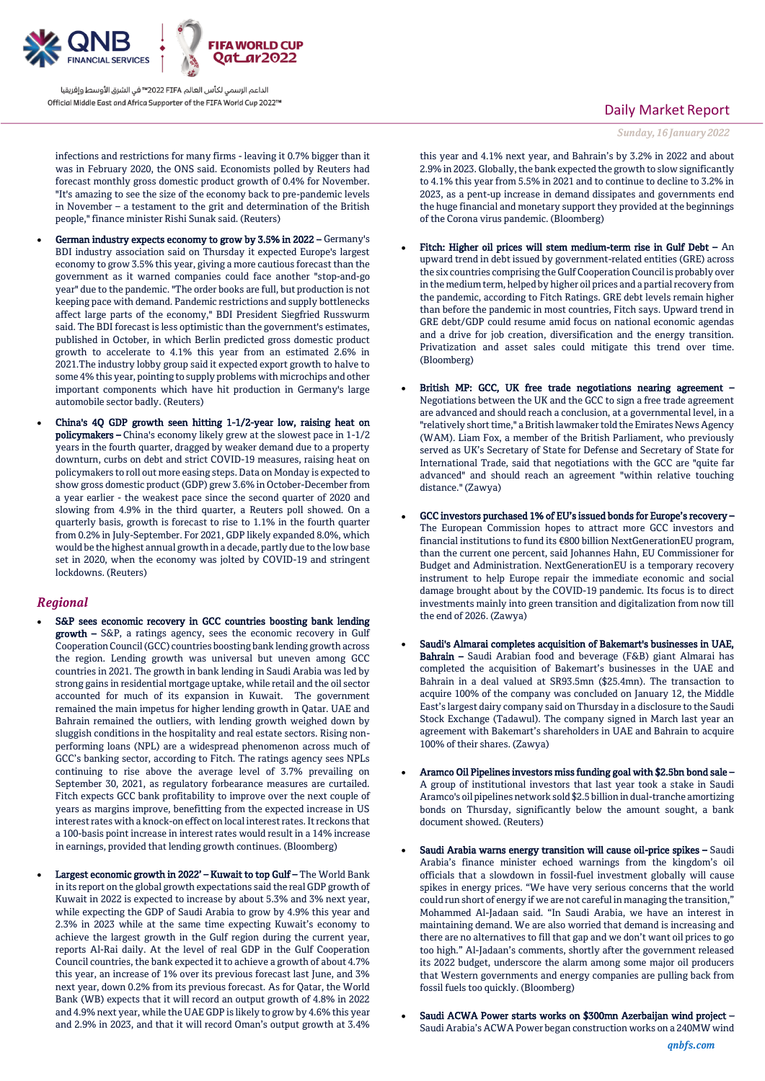

infections and restrictions for many firms - leaving it 0.7% bigger than it was in February 2020, the ONS said. Economists polled by Reuters had forecast monthly gross domestic product growth of 0.4% for November. "It's amazing to see the size of the economy back to pre-pandemic levels in November – a testament to the grit and determination of the British people," finance minister Rishi Sunak said. (Reuters)

- German industry expects economy to grow by 3.5% in 2022 Germany's BDI industry association said on Thursday it expected Europe's largest economy to grow 3.5% this year, giving a more cautious forecast than the government as it warned companies could face another "stop-and-go year" due to the pandemic. "The order books are full, but production is not keeping pace with demand. Pandemic restrictions and supply bottlenecks affect large parts of the economy," BDI President Siegfried Russwurm said. The BDI forecast is less optimistic than the government's estimates, published in October, in which Berlin predicted gross domestic product growth to accelerate to 4.1% this year from an estimated 2.6% in 2021.The industry lobby group said it expected export growth to halve to some 4% this year, pointing to supply problems with microchips and other important components which have hit production in Germany's large automobile sector badly. (Reuters)
- China's 4Q GDP growth seen hitting 1-1/2-year low, raising heat on policymakers – China's economy likely grew at the slowest pace in 1-1/2 years in the fourth quarter, dragged by weaker demand due to a property downturn, curbs on debt and strict COVID-19 measures, raising heat on policymakers to roll out more easing steps. Data on Monday is expected to show gross domestic product (GDP) grew 3.6% in October-December from a year earlier - the weakest pace since the second quarter of 2020 and slowing from 4.9% in the third quarter, a Reuters poll showed. On a quarterly basis, growth is forecast to rise to 1.1% in the fourth quarter from 0.2% in July-September. For 2021, GDP likely expanded 8.0%, which would be the highest annual growth in a decade, partly due to the low base set in 2020, when the economy was jolted by COVID-19 and stringent lockdowns. (Reuters)

### *Regional*

- S&P sees economic recovery in GCC countries boosting bank lending growth – S&P, a ratings agency, sees the economic recovery in Gulf Cooperation Council (GCC) countries boosting bank lending growth across the region. Lending growth was universal but uneven among GCC countries in 2021. The growth in bank lending in Saudi Arabia was led by strong gains in residential mortgage uptake, while retail and the oil sector accounted for much of its expansion in Kuwait. The government remained the main impetus for higher lending growth in Qatar. UAE and Bahrain remained the outliers, with lending growth weighed down by sluggish conditions in the hospitality and real estate sectors. Rising nonperforming loans (NPL) are a widespread phenomenon across much of GCC's banking sector, according to Fitch. The ratings agency sees NPLs continuing to rise above the average level of 3.7% prevailing on September 30, 2021, as regulatory forbearance measures are curtailed. Fitch expects GCC bank profitability to improve over the next couple of years as margins improve, benefitting from the expected increase in US interest rates with a knock-on effect on local interest rates. It reckons that a 100-basis point increase in interest rates would result in a 14% increase in earnings, provided that lending growth continues. (Bloomberg)
- Largest economic growth in 2022' Kuwait to top Gulf The World Bank in its report on the global growth expectations said the real GDP growth of Kuwait in 2022 is expected to increase by about 5.3% and 3% next year, while expecting the GDP of Saudi Arabia to grow by 4.9% this year and 2.3% in 2023 while at the same time expecting Kuwait's economy to achieve the largest growth in the Gulf region during the current year, reports Al-Rai daily. At the level of real GDP in the Gulf Cooperation Council countries, the bank expected it to achieve a growth of about 4.7% this year, an increase of 1% over its previous forecast last June, and 3% next year, down 0.2% from its previous forecast. As for Qatar, the World Bank (WB) expects that it will record an output growth of 4.8% in 2022 and 4.9% next year, while the UAE GDP is likely to grow by 4.6% this year and 2.9% in 2023, and that it will record Oman's output growth at 3.4%

## Daily Market Report

*Sunday, 16 January 2022*

this year and 4.1% next year, and Bahrain's by 3.2% in 2022 and about 2.9% in 2023. Globally, the bank expected the growth to slow significantly to 4.1% this year from 5.5% in 2021 and to continue to decline to 3.2% in 2023, as a pent-up increase in demand dissipates and governments end the huge financial and monetary support they provided at the beginnings of the Corona virus pandemic. (Bloomberg)

- Fitch: Higher oil prices will stem medium-term rise in Gulf Debt An upward trend in debt issued by government-related entities (GRE) across the six countries comprising the Gulf Cooperation Council is probably over in the medium term, helped by higher oil prices and a partial recovery from the pandemic, according to Fitch Ratings. GRE debt levels remain higher than before the pandemic in most countries, Fitch says. Upward trend in GRE debt/GDP could resume amid focus on national economic agendas and a drive for job creation, diversification and the energy transition. Privatization and asset sales could mitigate this trend over time. (Bloomberg)
- British MP: GCC, UK free trade negotiations nearing agreement Negotiations between the UK and the GCC to sign a free trade agreement are advanced and should reach a conclusion, at a governmental level, in a "relatively short time," a British lawmaker told the Emirates News Agency (WAM). Liam Fox, a member of the British Parliament, who previously served as UK's Secretary of State for Defense and Secretary of State for International Trade, said that negotiations with the GCC are "quite far advanced" and should reach an agreement "within relative touching distance." (Zawya)
- GCC investors purchased 1% of EU's issued bonds for Europe's recovery The European Commission hopes to attract more GCC investors and financial institutions to fund its €800 billion NextGenerationEU program, than the current one percent, said Johannes Hahn, EU Commissioner for Budget and Administration. NextGenerationEU is a temporary recovery instrument to help Europe repair the immediate economic and social damage brought about by the COVID-19 pandemic. Its focus is to direct investments mainly into green transition and digitalization from now till the end of 2026. (Zawya)
- Saudi's Almarai completes acquisition of Bakemart's businesses in UAE, Bahrain – Saudi Arabian food and beverage (F&B) giant Almarai has completed the acquisition of Bakemart's businesses in the UAE and Bahrain in a deal valued at SR93.5mn (\$25.4mn). The transaction to acquire 100% of the company was concluded on January 12, the Middle East's largest dairy company said on Thursday in a disclosure to the Saudi Stock Exchange (Tadawul). The company signed in March last year an agreement with Bakemart's shareholders in UAE and Bahrain to acquire 100% of their shares. (Zawya)
- Aramco Oil Pipelines investors miss funding goal with \$2.5bn bond sale A group of institutional investors that last year took a stake in Saudi Aramco's oil pipelines network sold \$2.5 billion in dual-tranche amortizing bonds on Thursday, significantly below the amount sought, a bank document showed. (Reuters)
- Saudi Arabia warns energy transition will cause oil-price spikes Saudi Arabia's finance minister echoed warnings from the kingdom's oil officials that a slowdown in fossil-fuel investment globally will cause spikes in energy prices. "We have very serious concerns that the world could run short of energy if we are not careful in managing the transition," Mohammed Al-Jadaan said. "In Saudi Arabia, we have an interest in maintaining demand. We are also worried that demand is increasing and there are no alternatives to fill that gap and we don't want oil prices to go too high." Al-Jadaan's comments, shortly after the government released its 2022 budget, underscore the alarm among some major oil producers that Western governments and energy companies are pulling back from fossil fuels too quickly. (Bloomberg)
- Saudi ACWA Power starts works on \$300mn Azerbaijan wind project Saudi Arabia's ACWA Power began construction works on a 240MW wind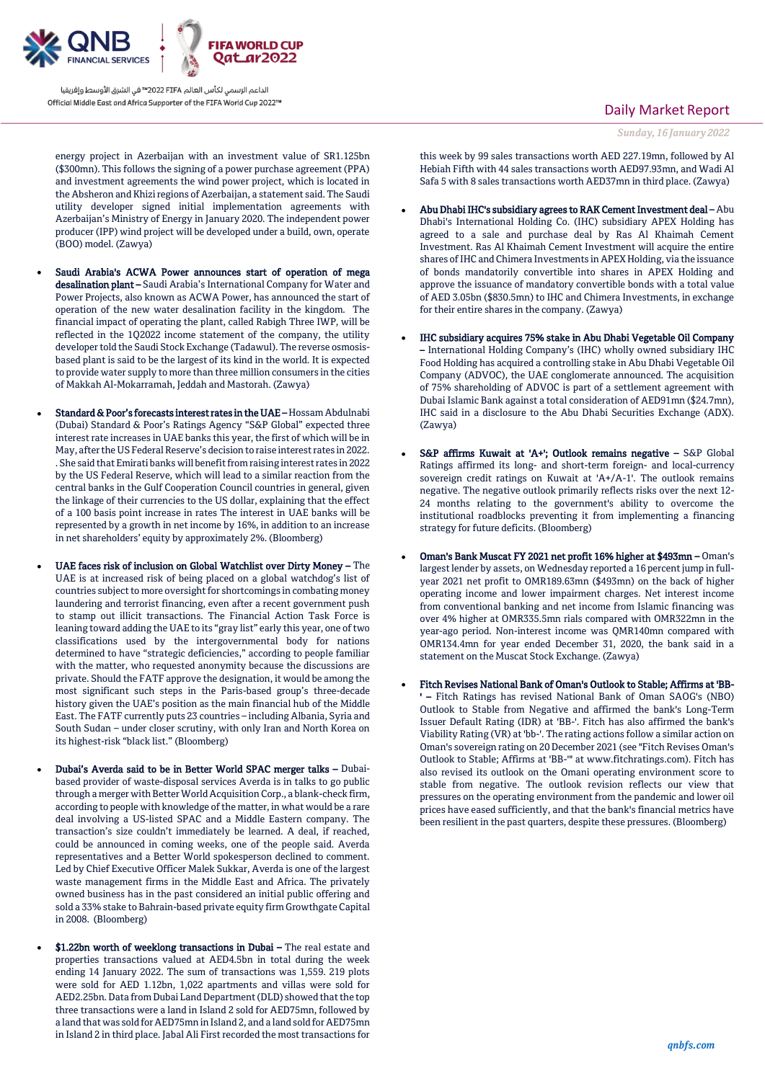

energy project in Azerbaijan with an investment value of SR1.125bn (\$300mn). This follows the signing of a power purchase agreement (PPA) and investment agreements the wind power project, which is located in the Absheron and Khizi regions of Azerbaijan, a statement said. The Saudi utility developer signed initial implementation agreements with Azerbaijan's Ministry of Energy in January 2020. The independent power producer (IPP) wind project will be developed under a build, own, operate (BOO) model. (Zawya)

- Saudi Arabia's ACWA Power announces start of operation of mega desalination plant – Saudi Arabia's International Company for Water and Power Projects, also known as ACWA Power, has announced the start of operation of the new water desalination facility in the kingdom. The financial impact of operating the plant, called Rabigh Three IWP, will be reflected in the 1Q2022 income statement of the company, the utility developer told the Saudi Stock Exchange (Tadawul). The reverse osmosisbased plant is said to be the largest of its kind in the world. It is expected to provide water supply to more than three million consumers in the cities of Makkah Al-Mokarramah, Jeddah and Mastorah. (Zawya)
- Standard & Poor's forecasts interest rates in the UAE Hossam Abdulnabi (Dubai) Standard & Poor's Ratings Agency "S&P Global" expected three interest rate increases in UAE banks this year, the first of which will be in May, after the US Federal Reserve's decision to raise interest rates in 2022. . She said that Emirati banks will benefit from raising interest rates in 2022 by the US Federal Reserve, which will lead to a similar reaction from the central banks in the Gulf Cooperation Council countries in general, given the linkage of their currencies to the US dollar, explaining that the effect of a 100 basis point increase in rates The interest in UAE banks will be represented by a growth in net income by 16%, in addition to an increase in net shareholders' equity by approximately 2%. (Bloomberg)
- UAE faces risk of inclusion on Global Watchlist over Dirty Money The UAE is at increased risk of being placed on a global watchdog's list of countries subject to more oversight for shortcomings in combating money laundering and terrorist financing, even after a recent government push to stamp out illicit transactions. The Financial Action Task Force is leaning toward adding the UAE to its "gray list" early this year, one of two classifications used by the intergovernmental body for nations determined to have "strategic deficiencies," according to people familiar with the matter, who requested anonymity because the discussions are private. Should the FATF approve the designation, it would be among the most significant such steps in the Paris-based group's three-decade history given the UAE's position as the main financial hub of the Middle East. The FATF currently puts 23 countries – including Albania, Syria and South Sudan – under closer scrutiny, with only Iran and North Korea on its highest-risk "black list." (Bloomberg)
- Dubai's Averda said to be in Better World SPAC merger talks Dubaibased provider of waste-disposal services Averda is in talks to go public through a merger with Better World Acquisition Corp., a blank-check firm, according to people with knowledge of the matter, in what would be a rare deal involving a US-listed SPAC and a Middle Eastern company. The transaction's size couldn't immediately be learned. A deal, if reached, could be announced in coming weeks, one of the people said. Averda representatives and a Better World spokesperson declined to comment. Led by Chief Executive Officer Malek Sukkar, Averda is one of the largest waste management firms in the Middle East and Africa. The privately owned business has in the past considered an initial public offering and sold a 33% stake to Bahrain-based private equity firm Growthgate Capital in 2008. (Bloomberg)
- \$1.22bn worth of weeklong transactions in Dubai The real estate and properties transactions valued at AED4.5bn in total during the week ending 14 January 2022. The sum of transactions was 1,559. 219 plots were sold for AED 1.12bn, 1,022 apartments and villas were sold for AED2.25bn. Data from Dubai Land Department (DLD) showed that the top three transactions were a land in Island 2 sold for AED75mn, followed by a land that was sold for AED75mn in Island 2, and a land sold for AED75mn in Island 2 in third place. Jabal Ali First recorded the most transactions for

### Daily Market Report

*Sunday, 16 January 2022*

this week by 99 sales transactions worth AED 227.19mn, followed by Al Hebiah Fifth with 44 sales transactions worth AED97.93mn, and Wadi Al Safa 5 with 8 sales transactions worth AED37mn in third place. (Zawya)

- Abu Dhabi IHC's subsidiary agrees to RAK Cement Investment deal Abu Dhabi's International Holding Co. (IHC) subsidiary APEX Holding has agreed to a sale and purchase deal by Ras Al Khaimah Cement Investment. Ras Al Khaimah Cement Investment will acquire the entire shares of IHC and Chimera Investments in APEX Holding, via the issuance of bonds mandatorily convertible into shares in APEX Holding and approve the issuance of mandatory convertible bonds with a total value of AED 3.05bn (\$830.5mn) to IHC and Chimera Investments, in exchange for their entire shares in the company. (Zawya)
- IHC subsidiary acquires 75% stake in Abu Dhabi Vegetable Oil Company – International Holding Company's (IHC) wholly owned subsidiary IHC Food Holding has acquired a controlling stake in Abu Dhabi Vegetable Oil Company (ADVOC), the UAE conglomerate announced. The acquisition of 75% shareholding of ADVOC is part of a settlement agreement with Dubai Islamic Bank against a total consideration of AED91mn (\$24.7mn), IHC said in a disclosure to the Abu Dhabi Securities Exchange (ADX). (Zawya)
- S&P affirms Kuwait at 'A+'; Outlook remains negative S&P Global Ratings affirmed its long- and short-term foreign- and local-currency sovereign credit ratings on Kuwait at 'A+/A-1'. The outlook remains negative. The negative outlook primarily reflects risks over the next 12- 24 months relating to the government's ability to overcome the institutional roadblocks preventing it from implementing a financing strategy for future deficits. (Bloomberg)
- Oman's Bank Muscat FY 2021 net profit 16% higher at \$493mn Oman's largest lender by assets, on Wednesday reported a 16 percent jump in fullyear 2021 net profit to OMR189.63mn (\$493mn) on the back of higher operating income and lower impairment charges. Net interest income from conventional banking and net income from Islamic financing was over 4% higher at OMR335.5mn rials compared with OMR322mn in the year-ago period. Non-interest income was QMR140mn compared with OMR134.4mn for year ended December 31, 2020, the bank said in a statement on the Muscat Stock Exchange. (Zawya)
- Fitch Revises National Bank of Oman's Outlook to Stable; Affirms at 'BB- ' – Fitch Ratings has revised National Bank of Oman SAOG's (NBO) Outlook to Stable from Negative and affirmed the bank's Long-Term Issuer Default Rating (IDR) at 'BB-'. Fitch has also affirmed the bank's Viability Rating (VR) at 'bb-'. The rating actions follow a similar action on Oman's sovereign rating on 20 December 2021 (see "Fitch Revises Oman's Outlook to Stable; Affirms at 'BB-'" at www.fitchratings.com). Fitch has also revised its outlook on the Omani operating environment score to stable from negative. The outlook revision reflects our view that pressures on the operating environment from the pandemic and lower oil prices have eased sufficiently, and that the bank's financial metrics have been resilient in the past quarters, despite these pressures. (Bloomberg)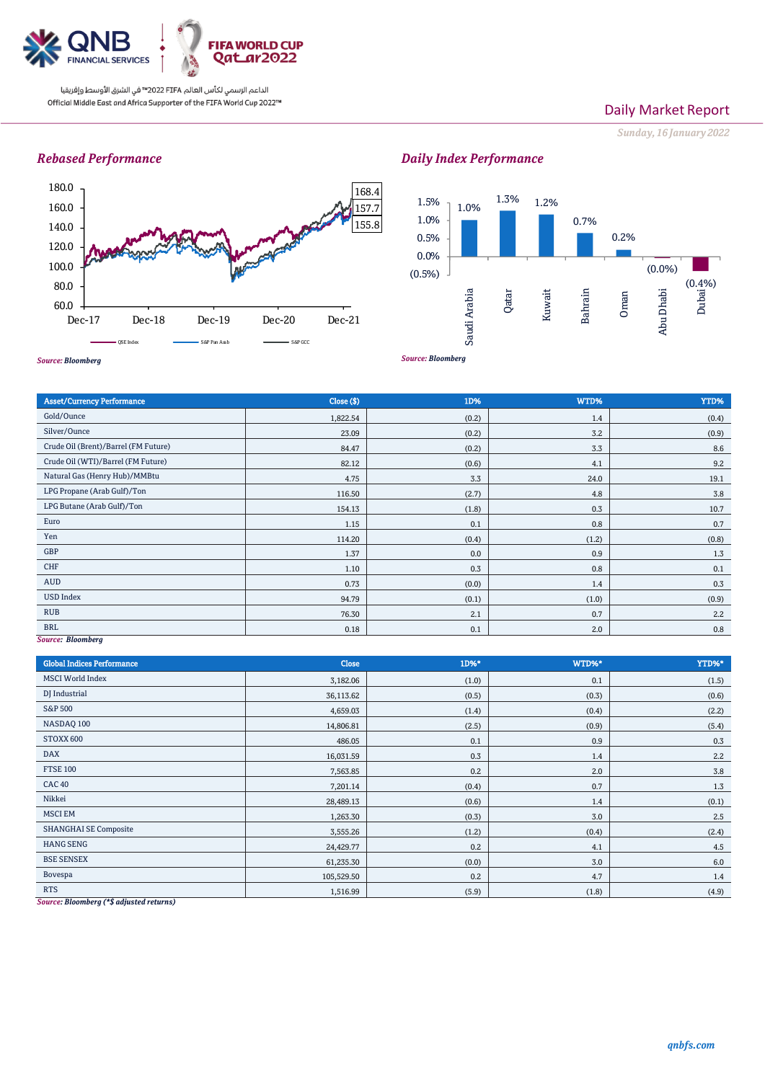

## Daily Market Report

*Sunday, 16 January 2022*

## *Rebased Performance*



#### *Source: Bloomberg* 1.0% 1.3% 1.2% 0.7% 0.2% (0.0%) (0.4%) (0.5%) 0.0% 0.5% 1.0% 1.5% Saudi Arabia Qatar Kuwait Bahrain Oman Abu Dhabi Dubai;

Asset/Currency Performance Close (\$) 1D% WTD% YTD% Gold/Ounce 1,822.54 (0.2) 1,822.54 (0.2) 1,822.54 (0.2) 1,4 (0.4) Silver/Ounce 23.09 (0.2) 3.2 (0.9) 3.2 (0.9) Crude Oil (Brent)/Barrel (FM Future) 84.47 (0.2) Crude Oil (WTI)/Barrel (FM Future) 82.12 (0.6) 4.1 9.2 Natural Gas (Henry Hub)/MMBtu 19.1 LPG Propane (Arab Gulf)/Ton 116.50 (2.7) 4.8 4.8 3.8 LPG Butane (Arab Gulf)/Ton 154.13 (1.8) 0.3 10.7 Euro 1.15 0.1 0.8 0.7 Yen (1.2) (0.8) (1.2) (0.8) (0.8) (1.2) (0.8) (1.2) (0.8) (1.2) (0.8) (1.2) (0.8) GBP  $1.37$  0.0 0.9 0.9 1.3 CHF  $0.3$  0.1  $0.3$  0.1  $0.8$  0.1  $0.1$ AUD  $0.73$   $0.73$   $0.0$   $0.0$   $1.4$   $0.3$ USD Index 94.79 (0.1) (1.0) (0.9) RUB  $76.30$   $2.2$ BRL  $0.18$   $0.18$   $0.1$   $0.1$   $0.01$   $0.20$   $0.8$ 

## *Source: Bloomberg*

| <b>Global Indices Performance</b>       | Close      | 1D%*  | WTD%* | YTD%*   |
|-----------------------------------------|------------|-------|-------|---------|
| <b>MSCI</b> World Index                 | 3,182.06   | (1.0) | 0.1   | (1.5)   |
| DJ Industrial                           | 36,113.62  | (0.5) | (0.3) | (0.6)   |
| S&P 500                                 | 4,659.03   | (1.4) | (0.4) | (2.2)   |
| NASDAQ 100                              | 14,806.81  | (2.5) | (0.9) | (5.4)   |
| STOXX 600                               | 486.05     | 0.1   | 0.9   | 0.3     |
| <b>DAX</b>                              | 16,031.59  | 0.3   | 1.4   | 2.2     |
| <b>FTSE 100</b>                         | 7,563.85   | 0.2   | 2.0   | 3.8     |
| <b>CAC 40</b>                           | 7,201.14   | (0.4) | 0.7   | 1.3     |
| Nikkei                                  | 28,489.13  | (0.6) | 1.4   | (0.1)   |
| <b>MSCI EM</b>                          | 1,263.30   | (0.3) | 3.0   | 2.5     |
| <b>SHANGHAI SE Composite</b>            | 3,555.26   | (1.2) | (0.4) | (2.4)   |
| <b>HANG SENG</b>                        | 24,429.77  | 0.2   | 4.1   | 4.5     |
| <b>BSE SENSEX</b>                       | 61,235.30  | (0.0) | 3.0   | $6.0\,$ |
| Bovespa                                 | 105,529.50 | 0.2   | 4.7   | 1.4     |
| <b>RTS</b><br>$\cdots$<br>$\sim$ $\sim$ | 1,516.99   | (5.9) | (1.8) | (4.9)   |

*Source: Bloomberg (\*\$ adjusted returns)*

# *Daily Index Performance*